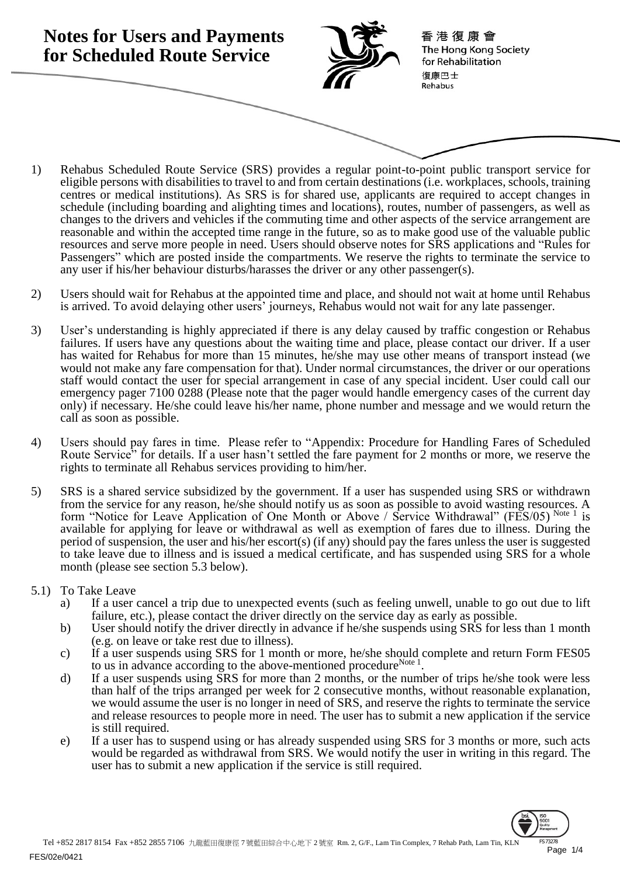

- 1) Rehabus Scheduled Route Service (SRS) provides a regular point-to-point public transport service for eligible persons with disabilities to travel to and from certain destinations (i.e. workplaces, schools, training centres or medical institutions). As SRS is for shared use, applicants are required to accept changes in schedule (including boarding and alighting times and locations), routes, number of passengers, as well as changes to the drivers and vehicles if the commuting time and other aspects of the service arrangement are reasonable and within the accepted time range in the future, so as to make good use of the valuable public resources and serve more people in need. Users should observe notes for SRS applications and "Rules for Passengers" which are posted inside the compartments. We reserve the rights to terminate the service to any user if his/her behaviour disturbs/harasses the driver or any other passenger(s).
- 2) Users should wait for Rehabus at the appointed time and place, and should not wait at home until Rehabus is arrived. To avoid delaying other users' journeys, Rehabus would not wait for any late passenger.
- 3) User's understanding is highly appreciated if there is any delay caused by traffic congestion or Rehabus failures. If users have any questions about the waiting time and place, please contact our driver. If a user has waited for Rehabus for more than 15 minutes, he/she may use other means of transport instead (we would not make any fare compensation for that). Under normal circumstances, the driver or our operations staff would contact the user for special arrangement in case of any special incident. User could call our emergency pager 7100 0288 (Please note that the pager would handle emergency cases of the current day only) if necessary. He/she could leave his/her name, phone number and message and we would return the call as soon as possible.
- 4) Users should pay fares in time. Please refer to "Appendix: Procedure for Handling Fares of Scheduled Route Service" for details. If a user hasn't settled the fare payment for 2 months or more, we reserve the rights to terminate all Rehabus services providing to him/her.
- 5) SRS is a shared service subsidized by the government. If a user has suspended using SRS or withdrawn from the service for any reason, he/she should notify us as soon as possible to avoid wasting resources. A form "Notice for Leave Application of One Month or Above / Service Withdrawal" (FES/05) Note 1 is available for applying for leave or withdrawal as well as exemption of fares due to illness. During the period of suspension, the user and his/her escort(s) (if any) should pay the fares unless the user is suggested to take leave due to illness and is issued a medical certificate, and has suspended using SRS for a whole month (please see section 5.3 below).
- 5.1) To Take Leave
	- a) If a user cancel a trip due to unexpected events (such as feeling unwell, unable to go out due to lift failure, etc.), please contact the driver directly on the service day as early as possible.
	- b) User should notify the driver directly in advance if he/she suspends using SRS for less than 1 month (e.g. on leave or take rest due to illness).
	- c) If a user suspends using SRS for 1 month or more, he/she should complete and return Form FES05 to us in advance according to the above-mentioned procedure<sup>Note 1</sup>.
	- d) If a user suspends using SRS for more than 2 months, or the number of trips he/she took were less than half of the trips arranged per week for 2 consecutive months, without reasonable explanation, we would assume the user is no longer in need of SRS, and reserve the rights to terminate the service and release resources to people more in need. The user has to submit a new application if the service is still required.
	- e) If a user has to suspend using or has already suspended using SRS for 3 months or more, such acts would be regarded as withdrawal from SRS. We would notify the user in writing in this regard. The user has to submit a new application if the service is still required.

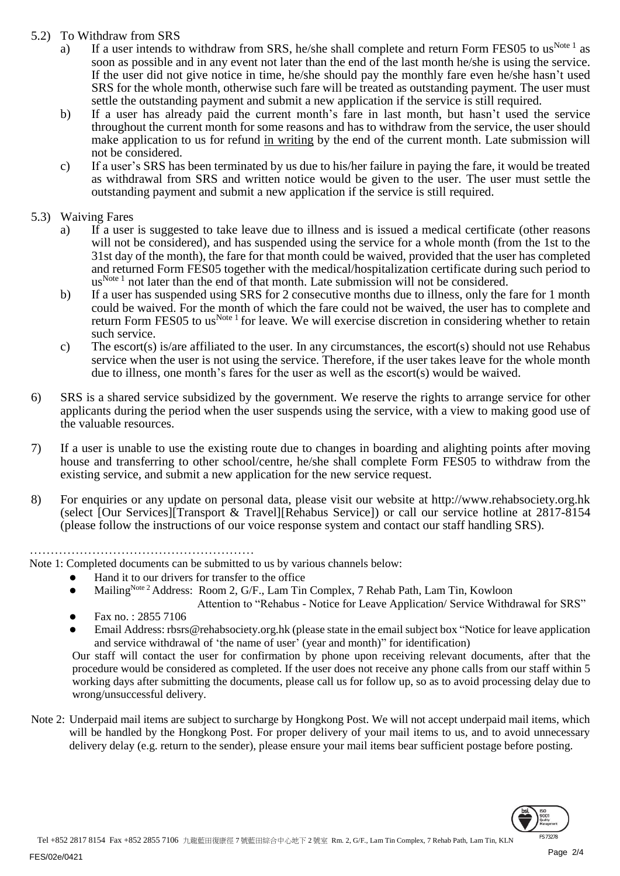## 5.2) To Withdraw from SRS

- a) If a user intends to withdraw from SRS, he/she shall complete and return Form FES05 to us<sup>Note 1</sup> as soon as possible and in any event not later than the end of the last month he/she is using the service. If the user did not give notice in time, he/she should pay the monthly fare even he/she hasn't used SRS for the whole month, otherwise such fare will be treated as outstanding payment. The user must settle the outstanding payment and submit a new application if the service is still required.
- b) If a user has already paid the current month's fare in last month, but hasn't used the service throughout the current month for some reasons and has to withdraw from the service, the user should make application to us for refund in writing by the end of the current month. Late submission will not be considered.
- c) If a user's SRS has been terminated by us due to his/her failure in paying the fare, it would be treated as withdrawal from SRS and written notice would be given to the user. The user must settle the outstanding payment and submit a new application if the service is still required.

## 5.3) Waiving Fares

- a) If a user is suggested to take leave due to illness and is issued a medical certificate (other reasons will not be considered), and has suspended using the service for a whole month (from the 1st to the 31st day of the month), the fare for that month could be waived, provided that the user has completed and returned Form FES05 together with the medical/hospitalization certificate during such period to  $us<sup>Note 1</sup>$  not later than the end of that month. Late submission will not be considered.
- b) If a user has suspended using SRS for 2 consecutive months due to illness, only the fare for 1 month could be waived. For the month of which the fare could not be waived, the user has to complete and return Form FES05 to us<sup>Note 1</sup> for leave. We will exercise discretion in considering whether to retain such service.
- c) The escort(s) is/are affiliated to the user. In any circumstances, the escort(s) should not use Rehabus service when the user is not using the service. Therefore, if the user takes leave for the whole month due to illness, one month's fares for the user as well as the escort(s) would be waived.
- 6) SRS is a shared service subsidized by the government. We reserve the rights to arrange service for other applicants during the period when the user suspends using the service, with a view to making good use of the valuable resources.
- 7) If a user is unable to use the existing route due to changes in boarding and alighting points after moving house and transferring to other school/centre, he/she shall complete Form FES05 to withdraw from the existing service, and submit a new application for the new service request.
- 8) For enquiries or any update on personal data, please visit our website at http://www.rehabsociety.org.hk (select [Our Services][Transport & Travel][Rehabus Service]) or call our service hotline at 2817-8154 (please follow the instructions of our voice response system and contact our staff handling SRS).

………………………………………………

Note 1: Completed documents can be submitted to us by various channels below:

- Hand it to our drivers for transfer to the office
- Mailing<sup>Note 2</sup> Address: Room 2, G/F., Lam Tin Complex, 7 Rehab Path, Lam Tin, Kowloon
	- Attention to "Rehabus Notice for Leave Application/ Service Withdrawal for SRS" Fax no. : 2855 7106
- Email Address: rbsrs@rehabsociety.org.hk (please state in the email subject box "Notice for leave application and service withdrawal of 'the name of user' (year and month)" for identification)

Our staff will contact the user for confirmation by phone upon receiving relevant documents, after that the procedure would be considered as completed. If the user does not receive any phone calls from our staff within 5 working days after submitting the documents, please call us for follow up, so as to avoid processing delay due to wrong/unsuccessful delivery.

Note 2: Underpaid mail items are subject to surcharge by Hongkong Post. We will not accept underpaid mail items, which will be handled by the Hongkong Post. For proper delivery of your mail items to us, and to avoid unnecessary delivery delay (e.g. return to the sender), please ensure your mail items bear sufficient postage before posting.

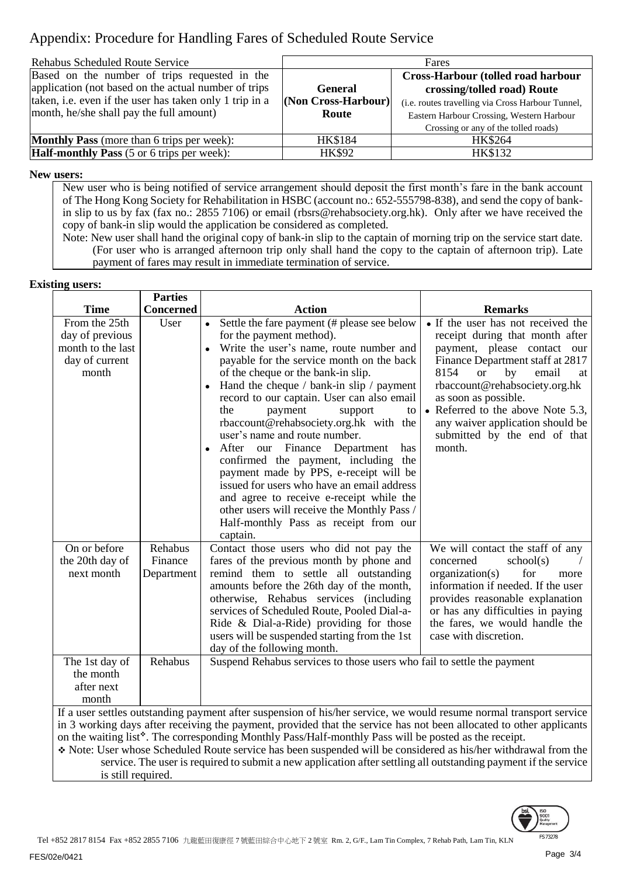# Appendix: Procedure for Handling Fares of Scheduled Route Service

| <b>Rehabus Scheduled Route Service</b>                                                                                                                                                                       | Fares                                          |                                                                                                                                                                                                                    |  |
|--------------------------------------------------------------------------------------------------------------------------------------------------------------------------------------------------------------|------------------------------------------------|--------------------------------------------------------------------------------------------------------------------------------------------------------------------------------------------------------------------|--|
| Based on the number of trips requested in the<br>application (not based on the actual number of trips<br>taken, i.e. even if the user has taken only 1 trip in a<br>month, he/she shall pay the full amount) | <b>General</b><br>(Non Cross-Harbour)<br>Route | <b>Cross-Harbour (tolled road harbour</b><br>crossing/tolled road) Route<br>(i.e. routes travelling via Cross Harbour Tunnel,<br>Eastern Harbour Crossing, Western Harbour<br>Crossing or any of the tolled roads) |  |
| <b>Monthly Pass</b> (more than 6 trips per week):                                                                                                                                                            | <b>HK\$184</b>                                 | HK\$264                                                                                                                                                                                                            |  |
| <b>Half-monthly Pass</b> (5 or 6 trips per week):                                                                                                                                                            | <b>HK\$92</b>                                  | HK\$132                                                                                                                                                                                                            |  |

### **New users:**

New user who is being notified of service arrangement should deposit the first month's fare in the bank account of The Hong Kong Society for Rehabilitation in HSBC (account no.: 652-555798-838), and send the copy of bankin slip to us by fax (fax no.: 2855 7106) or email (rbsrs@rehabsociety.org.hk). Only after we have received the copy of bank-in slip would the application be considered as completed.

Note: New user shall hand the original copy of bank-in slip to the captain of morning trip on the service start date. (For user who is arranged afternoon trip only shall hand the copy to the captain of afternoon trip). Late payment of fares may result in immediate termination of service.

#### **Existing users:**

|                                                                                                                                                                                                                                                                                                                                                                                                                                                                                                                                                                                         | <b>Parties</b>        |                                                                                                                                                                                                                                                                                                                                                                                                                                                                                                                                                                                                                                                                                                                                                                   |                                                                                                                                                                                                                                                                                                                                                                |
|-----------------------------------------------------------------------------------------------------------------------------------------------------------------------------------------------------------------------------------------------------------------------------------------------------------------------------------------------------------------------------------------------------------------------------------------------------------------------------------------------------------------------------------------------------------------------------------------|-----------------------|-------------------------------------------------------------------------------------------------------------------------------------------------------------------------------------------------------------------------------------------------------------------------------------------------------------------------------------------------------------------------------------------------------------------------------------------------------------------------------------------------------------------------------------------------------------------------------------------------------------------------------------------------------------------------------------------------------------------------------------------------------------------|----------------------------------------------------------------------------------------------------------------------------------------------------------------------------------------------------------------------------------------------------------------------------------------------------------------------------------------------------------------|
| <b>Time</b>                                                                                                                                                                                                                                                                                                                                                                                                                                                                                                                                                                             | <b>Concerned</b>      | <b>Action</b>                                                                                                                                                                                                                                                                                                                                                                                                                                                                                                                                                                                                                                                                                                                                                     | <b>Remarks</b>                                                                                                                                                                                                                                                                                                                                                 |
| From the 25th<br>day of previous<br>month to the last<br>day of current<br>month                                                                                                                                                                                                                                                                                                                                                                                                                                                                                                        | User<br>Rehabus       | Settle the fare payment (# please see below<br>$\bullet$<br>for the payment method).<br>Write the user's name, route number and<br>payable for the service month on the back<br>of the cheque or the bank-in slip.<br>Hand the cheque / bank-in slip / payment<br>record to our captain. User can also email<br>the<br>payment<br>support<br>to<br>rbaccount@rehabsociety.org.hk with the<br>user's name and route number.<br>our Finance Department<br>After<br>has<br>$\bullet$<br>confirmed the payment, including the<br>payment made by PPS, e-receipt will be<br>issued for users who have an email address<br>and agree to receive e-receipt while the<br>other users will receive the Monthly Pass /<br>Half-monthly Pass as receipt from our<br>captain. | • If the user has not received the<br>receipt during that month after<br>payment, please contact our<br>Finance Department staff at 2817<br>8154<br><b>or</b><br>by<br>email<br>at<br>rbaccount@rehabsociety.org.hk<br>as soon as possible.<br>• Referred to the above Note 5.3,<br>any waiver application should be<br>submitted by the end of that<br>month. |
| On or before<br>the 20th day of<br>next month                                                                                                                                                                                                                                                                                                                                                                                                                                                                                                                                           | Finance<br>Department | Contact those users who did not pay the<br>fares of the previous month by phone and<br>remind them to settle all outstanding<br>amounts before the 26th day of the month,<br>otherwise, Rehabus services (including<br>services of Scheduled Route, Pooled Dial-a-<br>Ride & Dial-a-Ride) providing for those<br>users will be suspended starting from the 1st<br>day of the following month.                                                                                                                                                                                                                                                                                                                                                                     | We will contact the staff of any<br>concerned<br>school(s)<br>organization(s)<br>for<br>more<br>information if needed. If the user<br>provides reasonable explanation<br>or has any difficulties in paying<br>the fares, we would handle the<br>case with discretion.                                                                                          |
| The 1st day of<br>the month<br>after next<br>month                                                                                                                                                                                                                                                                                                                                                                                                                                                                                                                                      | Rehabus               | Suspend Rehabus services to those users who fail to settle the payment                                                                                                                                                                                                                                                                                                                                                                                                                                                                                                                                                                                                                                                                                            |                                                                                                                                                                                                                                                                                                                                                                |
| If a user settles outstanding payment after suspension of his/her service, we would resume normal transport service<br>in 3 working days after receiving the payment, provided that the service has not been allocated to other applicants<br>on the waiting list*. The corresponding Monthly Pass/Half-monthly Pass will be posted as the receipt.<br>Note: User whose Scheduled Route service has been suspended will be considered as his/her withdrawal from the<br>service. The user is required to submit a new application after settling all outstanding payment if the service |                       |                                                                                                                                                                                                                                                                                                                                                                                                                                                                                                                                                                                                                                                                                                                                                                   |                                                                                                                                                                                                                                                                                                                                                                |

is still required.